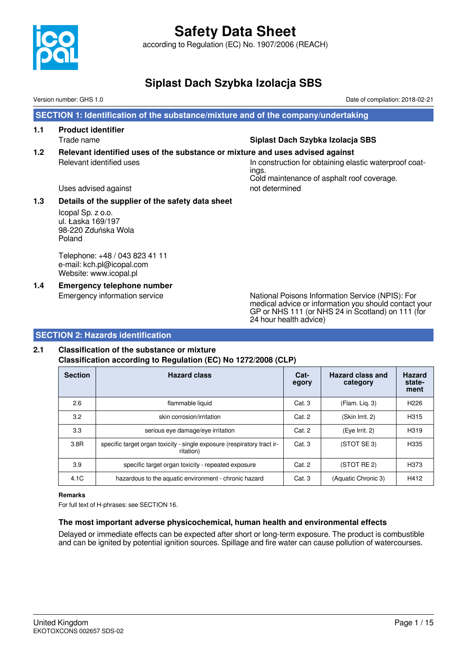

according to Regulation (EC) No. 1907/2006 (REACH)

### **Siplast Dach Szybka Izolacja SBS**

Version number: GHS 1.0 Date of compilation: 2018-02-21

 **SECTION 1: Identification of the substance/mixture and of the company/undertaking**

**1.1 Product identifier**

#### Trade name **Siplast Dach Szybka Izolacja SBS**

**1.2 Relevant identified uses of the substance or mixture and uses advised against** Relevant identified uses In construction for obtaining elastic waterproof coat-

ings. Cold maintenance of asphalt roof coverage.

Uses advised against not determined

#### **1.3 Details of the supplier of the safety data sheet**

Icopal Sp. z o.o. ul. Łaska 169/197 98-220 Zduńska Wola Poland

Telephone: +48 / 043 823 41 11 e-mail: kch.pl@icopal.com Website: www.icopal.pl

**1.4 Emergency telephone number**

Emergency information service National Poisons Information Service (NPIS): For medical advice or information you should contact your GP or NHS 111 (or NHS 24 in Scotland) on 111 (for 24 hour health advice)

#### **SECTION 2: Hazards identification**

#### **2.1 Classification of the substance or mixture Classification according to Regulation (EC) No 1272/2008 (CLP)**

| <b>Section</b> | <b>Hazard class</b>                                                                  | Cat-<br>egory | Hazard class and<br>category | <b>Hazard</b><br>state-<br>ment |
|----------------|--------------------------------------------------------------------------------------|---------------|------------------------------|---------------------------------|
| 2.6            | flammable liquid                                                                     | Cat.3         | (Flam. Liq. 3)               | H <sub>226</sub>                |
| 3.2            | skin corrosion/irritation                                                            | Cat. 2        | (Skin Irrit. 2)              | H <sub>3</sub> 15               |
| 3.3            | serious eye damage/eye irritation                                                    | Cat. 2        | (Eye Irrit. 2)               | H <sub>3</sub> 19               |
| 3.8R           | specific target organ toxicity - single exposure (respiratory tract ir-<br>ritation) | Cat. 3        | (STOT SE 3)                  | H335                            |
| 3.9            | specific target organ toxicity - repeated exposure                                   | Cat. 2        | (STOT RE 2)                  | H373                            |
| 4.1C           | hazardous to the aquatic environment - chronic hazard                                | Cat.3         | (Aquatic Chronic 3)          | H412                            |

#### **Remarks**

For full text of H-phrases: see SECTION 16.

#### **The most important adverse physicochemical, human health and environmental effects**

Delayed or immediate effects can be expected after short or long-term exposure. The product is combustible and can be ignited by potential ignition sources. Spillage and fire water can cause pollution of watercourses.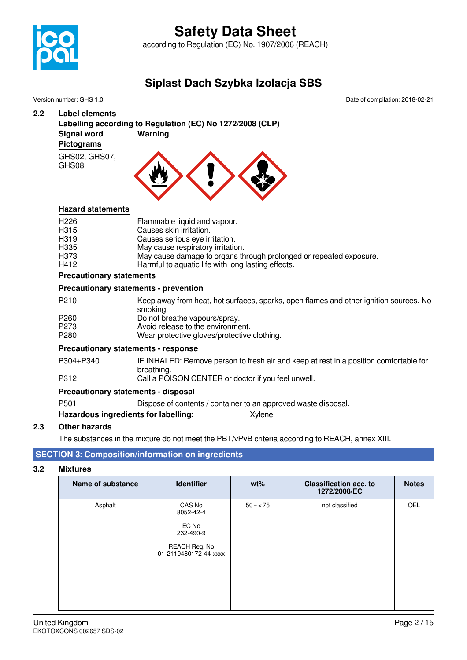

according to Regulation (EC) No. 1907/2006 (REACH)

## **Siplast Dach Szybka Izolacja SBS**

Version number: GHS 1.0 Date of compilation: 2018-02-21

### **2.2 Label elements Labelling according to Regulation (EC) No 1272/2008 (CLP) Signal word Warning Pictograms** GHS02, GHS07, GHS08

#### **Hazard statements**

| H <sub>226</sub>  | Flammable liquid and vapour.                                       |
|-------------------|--------------------------------------------------------------------|
| H <sub>315</sub>  | Causes skin irritation.                                            |
| H <sub>3</sub> 19 | Causes serious eye irritation.                                     |
| H335              | May cause respiratory irritation.                                  |
| H373              | May cause damage to organs through prolonged or repeated exposure. |
| H412              | Harmful to aquatic life with long lasting effects.                 |

#### **Precautionary statements**

#### **Precautionary statements - prevention**

| P <sub>210</sub> | Keep away from heat, hot surfaces, sparks, open flames and other ignition sources. No |
|------------------|---------------------------------------------------------------------------------------|
|                  | smoking.                                                                              |
| P <sub>260</sub> | Do not breathe vapours/spray.                                                         |
| P <sub>273</sub> | Avoid release to the environment.                                                     |
| P <sub>280</sub> | Wear protective gloves/protective clothing.                                           |
|                  |                                                                                       |

#### **Precautionary statements - response**

| P304+P340 | IF INHALED: Remove person to fresh air and keep at rest in a position comfortable for |
|-----------|---------------------------------------------------------------------------------------|
|           | breathing.                                                                            |
| P312      | Call a POISON CENTER or doctor if you feel unwell.                                    |

#### **Precautionary statements - disposal**

```
P501 Dispose of contents / container to an approved waste disposal.
```
#### **Hazardous ingredients for labelling:** Xylene

#### **2.3 Other hazards**

The substances in the mixture do not meet the PBT/vPvB criteria according to REACH, annex XIII.

#### **SECTION 3: Composition/information on ingredients**

#### **3.2 Mixtures**

| Name of substance | <b>Identifier</b>                                                                   | $wt\%$    | <b>Classification acc. to</b><br>1272/2008/EC | <b>Notes</b> |
|-------------------|-------------------------------------------------------------------------------------|-----------|-----------------------------------------------|--------------|
| Asphalt           | CAS No<br>8052-42-4<br>EC No<br>232-490-9<br>REACH Reg. No<br>01-2119480172-44-xxxx | $50 - 75$ | not classified                                | OEL          |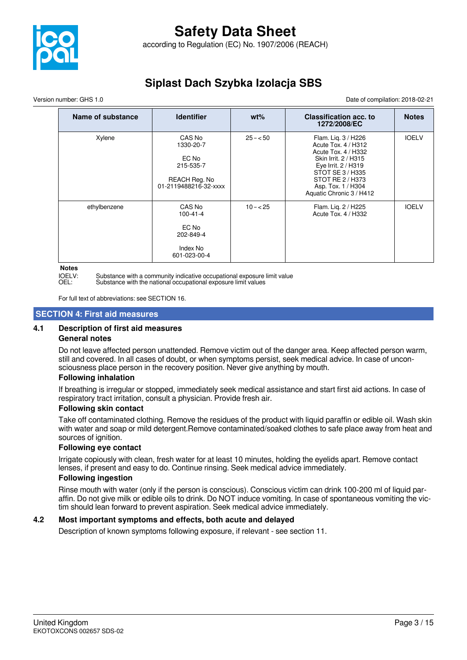

Version number: GHS 1.0 Date of compilation: 2018-02-21

| Name of substance | <b>Identifier</b>                                                                   | $wt\%$    | <b>Classification acc. to</b><br>1272/2008/EC                                                                                                                                                              | <b>Notes</b> |
|-------------------|-------------------------------------------------------------------------------------|-----------|------------------------------------------------------------------------------------------------------------------------------------------------------------------------------------------------------------|--------------|
| Xylene            | CAS No<br>1330-20-7<br>EC No<br>215-535-7<br>REACH Reg. No<br>01-2119488216-32-xxxx | $25 - 50$ | Flam. Lig. 3 / H226<br>Acute Tox. 4 / H312<br>Acute Tox. 4 / H332<br>Skin Irrit. 2 / H315<br>Eye Irrit. 2 / H319<br>STOT SE 3 / H335<br>STOT RE 2 / H373<br>Asp. Tox. 1 / H304<br>Aquatic Chronic 3 / H412 | <b>IOELV</b> |
| ethylbenzene      | CAS No<br>100-41-4<br>EC No<br>202-849-4<br>Index No<br>601-023-00-4                | $10 - 25$ | Flam. Lig. 2 / H225<br>Acute Tox. 4 / H332                                                                                                                                                                 | <b>IOELV</b> |

**Notes**

IOELV: Substance with a community indicative occupational exposure limit value

OEL: Substance with the national occupational exposure limit values

For full text of abbreviations: see SECTION 16.

#### **SECTION 4: First aid measures**

#### **4.1 Description of first aid measures**

#### **General notes**

Do not leave affected person unattended. Remove victim out of the danger area. Keep affected person warm, still and covered. In all cases of doubt, or when symptoms persist, seek medical advice. In case of unconsciousness place person in the recovery position. Never give anything by mouth.

#### **Following inhalation**

If breathing is irregular or stopped, immediately seek medical assistance and start first aid actions. In case of respiratory tract irritation, consult a physician. Provide fresh air.

#### **Following skin contact**

Take off contaminated clothing. Remove the residues of the product with liquid paraffin or edible oil. Wash skin with water and soap or mild detergent.Remove contaminated/soaked clothes to safe place away from heat and sources of ignition.

#### **Following eye contact**

Irrigate copiously with clean, fresh water for at least 10 minutes, holding the eyelids apart. Remove contact lenses, if present and easy to do. Continue rinsing. Seek medical advice immediately.

#### **Following ingestion**

Rinse mouth with water (only if the person is conscious). Conscious victim can drink 100-200 ml of liquid paraffin. Do not give milk or edible oils to drink. Do NOT induce vomiting. In case of spontaneous vomiting the victim should lean forward to prevent aspiration. Seek medical advice immediately.

#### **4.2 Most important symptoms and effects, both acute and delayed**

Description of known symptoms following exposure, if relevant - see section 11.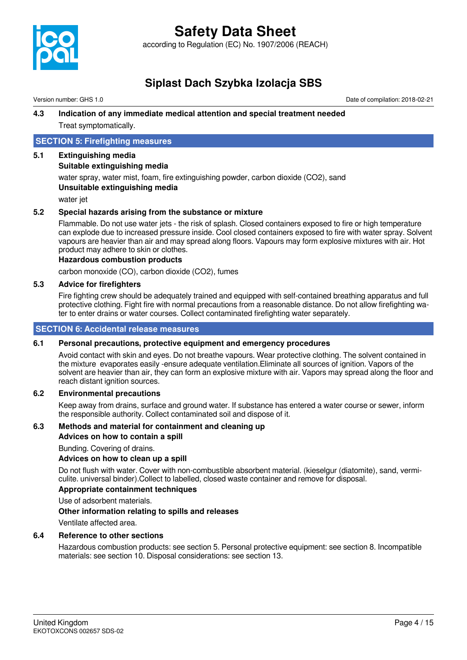

according to Regulation (EC) No. 1907/2006 (REACH)

## **Siplast Dach Szybka Izolacja SBS**

Version number: GHS 1.0 Date of compilation: 2018-02-21

#### **4.3 Indication of any immediate medical attention and special treatment needed** Treat symptomatically.

#### **SECTION 5: Firefighting measures**

#### **5.1 Extinguishing media**

#### **Suitable extinguishing media**

water spray, water mist, foam, fire extinguishing powder, carbon dioxide (CO2), sand **Unsuitable extinguishing media**

water jet

#### **5.2 Special hazards arising from the substance or mixture**

Flammable. Do not use water jets - the risk of splash. Closed containers exposed to fire or high temperature can explode due to increased pressure inside. Cool closed containers exposed to fire with water spray. Solvent vapours are heavier than air and may spread along floors. Vapours may form explosive mixtures with air. Hot product may adhere to skin or clothes.

#### **Hazardous combustion products**

carbon monoxide (CO), carbon dioxide (CO2), fumes

#### **5.3 Advice for firefighters**

Fire fighting crew should be adequately trained and equipped with self-contained breathing apparatus and full protective clothing. Fight fire with normal precautions from a reasonable distance. Do not allow firefighting water to enter drains or water courses. Collect contaminated firefighting water separately.

#### **SECTION 6: Accidental release measures**

#### **6.1 Personal precautions, protective equipment and emergency procedures**

Avoid contact with skin and eyes. Do not breathe vapours. Wear protective clothing. The solvent contained in the mixture evaporates easily -ensure adequate ventilation.Eliminate all sources of ignition. Vapors of the solvent are heavier than air, they can form an explosive mixture with air. Vapors may spread along the floor and reach distant ignition sources.

#### **6.2 Environmental precautions**

Keep away from drains, surface and ground water. If substance has entered a water course or sewer, inform the responsible authority. Collect contaminated soil and dispose of it.

#### **6.3 Methods and material for containment and cleaning up**

**Advices on how to contain a spill**

Bunding. Covering of drains.

#### **Advices on how to clean up a spill**

Do not flush with water. Cover with non-combustible absorbent material. (kieselgur (diatomite), sand, vermiculite. universal binder).Collect to labelled, closed waste container and remove for disposal.

#### **Appropriate containment techniques**

Use of adsorbent materials.

#### **Other information relating to spills and releases**

Ventilate affected area.

#### **6.4 Reference to other sections**

Hazardous combustion products: see section 5. Personal protective equipment: see section 8. Incompatible materials: see section 10. Disposal considerations: see section 13.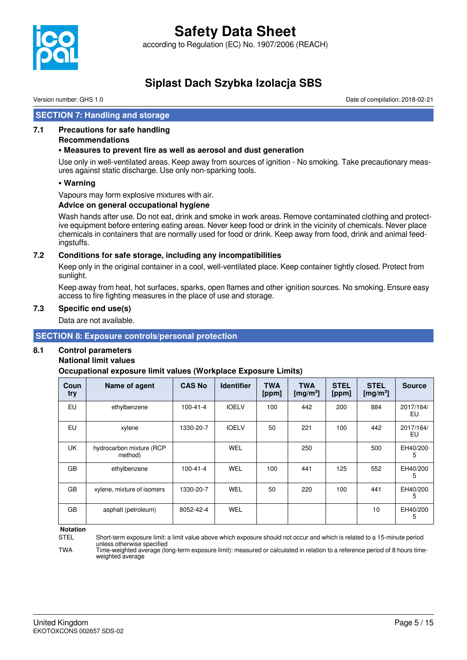

Version number: GHS 1.0 Date of compilation: 2018-02-21

#### **SECTION 7: Handling and storage**

#### **7.1 Precautions for safe handling**

#### **Recommendations**

#### **• Measures to prevent fire as well as aerosol and dust generation**

Use only in well-ventilated areas. Keep away from sources of ignition - No smoking. Take precautionary measures against static discharge. Use only non-sparking tools.

#### **• Warning**

Vapours may form explosive mixtures with air.

#### **Advice on general occupational hygiene**

Wash hands after use. Do not eat, drink and smoke in work areas. Remove contaminated clothing and protective equipment before entering eating areas. Never keep food or drink in the vicinity of chemicals. Never place chemicals in containers that are normally used for food or drink. Keep away from food, drink and animal feedingstuffs.

#### **7.2 Conditions for safe storage, including any incompatibilities**

Keep only in the original container in a cool, well-ventilated place. Keep container tightly closed. Protect from sunlight.

Keep away from heat, hot surfaces, sparks, open flames and other ignition sources. No smoking. Ensure easy access to fire fighting measures in the place of use and storage.

#### **7.3 Specific end use(s)**

Data are not available.

#### **SECTION 8: Exposure controls/personal protection**

#### **8.1 Control parameters**

#### **National limit values**

**Occupational exposure limit values (Workplace Exposure Limits)**

| Coun<br>try | Name of agent                       | <b>CAS No</b>  | <b>Identifier</b> | <b>TWA</b><br>[ppm] | <b>TWA</b><br>[mg/m <sup>3</sup> ] | <b>STEL</b><br>[ppm] | <b>STEL</b><br>[mg/m <sup>3</sup> ] | <b>Source</b>   |
|-------------|-------------------------------------|----------------|-------------------|---------------------|------------------------------------|----------------------|-------------------------------------|-----------------|
| EU          | ethylbenzene                        | $100 - 41 - 4$ | <b>IOELV</b>      | 100                 | 442                                | 200                  | 884                                 | 2017/164/<br>EU |
| EU          | xylene                              | 1330-20-7      | <b>IOELV</b>      | 50                  | 221                                | 100                  | 442                                 | 2017/164/<br>EU |
| <b>UK</b>   | hydrocarbon mixture (RCP<br>method) |                | <b>WEL</b>        |                     | 250                                |                      | 500                                 | EH40/200<br>5   |
| GB          | ethylbenzene                        | $100 - 41 - 4$ | WEL               | 100                 | 441                                | 125                  | 552                                 | EH40/200<br>5   |
| GB          | xylene, mixture of isomers          | 1330-20-7      | WEL               | 50                  | 220                                | 100                  | 441                                 | EH40/200<br>5   |
| GB          | asphalt (petroleum)                 | 8052-42-4      | <b>WEL</b>        |                     |                                    |                      | 10                                  | EH40/200<br>5   |

**Notation**<br>STFI

TWA Time-weighted average (long-term exposure limit): measured or calculated in relation to a reference period of 8 hours timeweighted average

Short-term exposure limit: a limit value above which exposure should not occur and which is related to a 15-minute period unless otherwise specified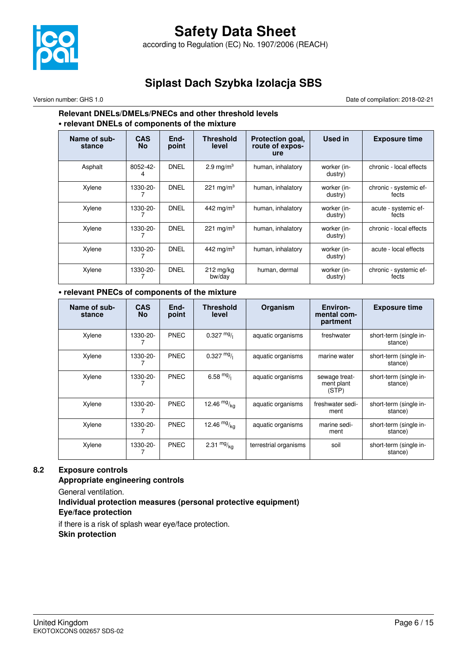

#### Version number: GHS 1.0 Date of compilation: 2018-02-21

#### **Relevant DNELs/DMELs/PNECs and other threshold levels • relevant DNELs of components of the mixture**

| Name of sub-<br>stance | <b>CAS</b><br><b>No</b> | End-<br>point | Threshold<br>level            | Protection goal,<br>route of expos-<br>ure | Used in                | <b>Exposure time</b>            |
|------------------------|-------------------------|---------------|-------------------------------|--------------------------------------------|------------------------|---------------------------------|
| Asphalt                | 8052-42-                | <b>DNEL</b>   | 2.9 mg/m <sup>3</sup>         | human, inhalatory                          | worker (in-<br>dustry) | chronic - local effects         |
| Xylene                 | 1330-20-                | <b>DNEL</b>   | 221 mg/m <sup>3</sup>         | human, inhalatory                          | worker (in-<br>dustry) | chronic - systemic ef-<br>fects |
| Xylene                 | 1330-20-                | <b>DNEL</b>   | 442 mg/m <sup>3</sup>         | human, inhalatory                          | worker (in-<br>dustry) | acute - systemic ef-<br>fects   |
| Xylene                 | 1330-20-                | <b>DNEL</b>   | 221 mg/m <sup>3</sup>         | human, inhalatory                          | worker (in-<br>dustry) | chronic - local effects         |
| Xylene                 | 1330-20-                | <b>DNEL</b>   | 442 mg/m <sup>3</sup>         | human, inhalatory                          | worker (in-<br>dustry) | acute - local effects           |
| Xylene                 | 1330-20-                | <b>DNEL</b>   | $212 \text{ mg/kg}$<br>bw/day | human, dermal                              | worker (in-<br>dustry) | chronic - systemic ef-<br>fects |

#### **• relevant PNECs of components of the mixture**

| Name of sub-<br>stance | <b>CAS</b><br><b>No</b> | End-<br>point | <b>Threshold</b><br>level | Organism              | Environ-<br>mental com-<br>partment  | <b>Exposure time</b>              |
|------------------------|-------------------------|---------------|---------------------------|-----------------------|--------------------------------------|-----------------------------------|
| Xylene                 | 1330-20-                | <b>PNEC</b>   | $0.327 \frac{mg}{l}$      | aquatic organisms     | freshwater                           | short-term (single in-<br>stance) |
| Xylene                 | 1330-20-                | <b>PNEC</b>   | $0.327 \frac{mg}{l}$      | aquatic organisms     | marine water                         | short-term (single in-<br>stance) |
| Xylene                 | 1330-20-                | PNEC          | 6.58 $mg/1$               | aquatic organisms     | sewage treat-<br>ment plant<br>(STP) | short-term (single in-<br>stance) |
| Xylene                 | 1330-20-                | <b>PNEC</b>   | 12.46 $mg/kq$             | aquatic organisms     | freshwater sedi-<br>ment             | short-term (single in-<br>stance) |
| Xylene                 | 1330-20-                | <b>PNEC</b>   | 12.46 $mg/kq$             | aquatic organisms     | marine sedi-<br>ment                 | short-term (single in-<br>stance) |
| Xylene                 | 1330-20-                | <b>PNEC</b>   | 2.31 $mg/kq$              | terrestrial organisms | soil                                 | short-term (single in-<br>stance) |

#### **8.2 Exposure controls**

**Appropriate engineering controls**

General ventilation.

#### **Individual protection measures (personal protective equipment) Eye/face protection**

if there is a risk of splash wear eye/face protection. **Skin protection**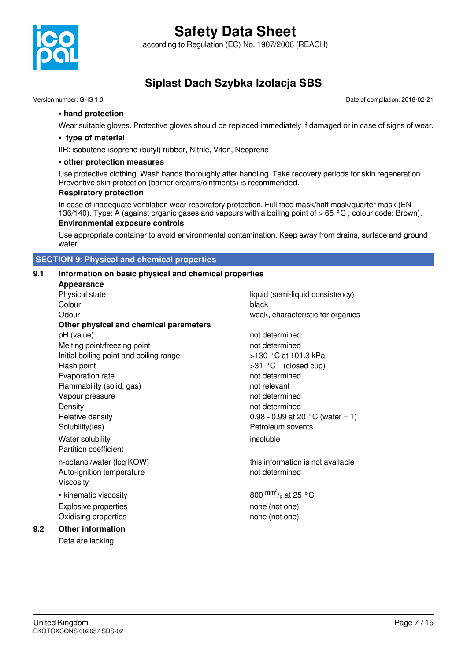

### **Safety Data Sheet** according to Regulation (EC) No. 1907/2006 (REACH)

**Siplast Dach Szybka Izolacja SBS**

Version number: GHS 1.0 Date of compilation: 2018-02-21

#### **• hand protection**

Wear suitable gloves. Protective gloves should be replaced immediately if damaged or in case of signs of wear.

#### **• type of material**

IIR: isobutene-isoprene (butyl) rubber, Nitrile, Viton, Neoprene

#### **• other protection measures**

Use protective clothing. Wash hands thoroughly after handling. Take recovery periods for skin regeneration. Preventive skin protection (barrier creams/ointments) is recommended.

#### **Respiratory protection**

In case of inadequate ventilation wear respiratory protection. Full face mask/half mask/quarter mask (EN 136/140). Type: A (against organic gases and vapours with a boiling point of  $> 65 °C$ , colour code: Brown).

#### **Environmental exposure controls**

Use appropriate container to avoid environmental contamination. Keep away from drains, surface and ground water.

#### **SECTION 9: Physical and chemical properties**

#### **9.1 Information on basic physical and chemical properties**

**Appearance** Physical state liquid (semi-liquid consistency) **Colour** black Odour weak, characteristic for organics **Other physical and chemical parameters** pH (value) not determined Melting point/freezing point not determined Initial boiling point and boiling range  $>130 °C$  at 101.3 kPa Flash point  $>31 °C$  (closed cup) Evaporation rate not determined Flammability (solid, gas) not relevant Vapour pressure not determined Density **Density not determined** Relative density  $0.98 - 0.99$  at 20  $\degree$ C (water = 1) Solubility(ies) **Petroleum** sovents Water solubility insoluble Partition coefficient n-octanol/water (log KOW) this information is not available Auto-ignition temperature not determined Viscosity • kinematic viscosity Explosive properties explosive properties none (not one) Oxidising properties none (not one)

**9.2 Other information**

Data are lacking.

800  $\text{mm}^2$ /<sub>s</sub> at 25 °C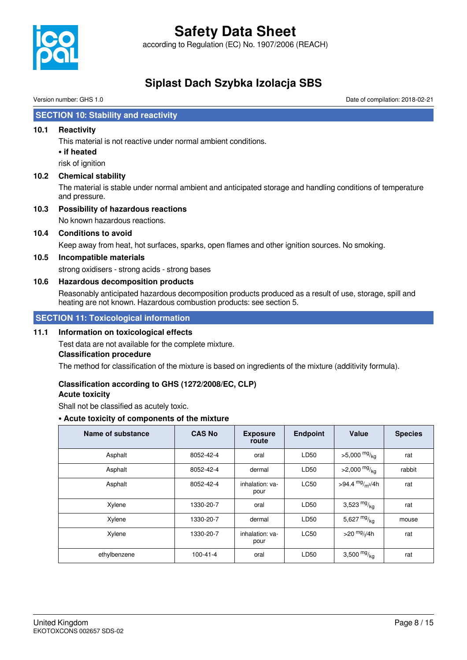

according to Regulation (EC) No. 1907/2006 (REACH)

## **Siplast Dach Szybka Izolacja SBS**

Version number: GHS 1.0 Date of compilation: 2018-02-21

#### **SECTION 10: Stability and reactivity**

#### **10.1 Reactivity**

This material is not reactive under normal ambient conditions.

#### **• if heated**

risk of ignition

#### **10.2 Chemical stability**

The material is stable under normal ambient and anticipated storage and handling conditions of temperature and pressure.

#### **10.3 Possibility of hazardous reactions**

No known hazardous reactions.

#### **10.4 Conditions to avoid**

Keep away from heat, hot surfaces, sparks, open flames and other ignition sources. No smoking.

#### **10.5 Incompatible materials**

strong oxidisers - strong acids - strong bases

#### **10.6 Hazardous decomposition products**

Reasonably anticipated hazardous decomposition products produced as a result of use, storage, spill and heating are not known. Hazardous combustion products: see section 5.

#### **SECTION 11: Toxicological information**

#### **11.1 Information on toxicological effects**

Test data are not available for the complete mixture.

#### **Classification procedure**

The method for classification of the mixture is based on ingredients of the mixture (additivity formula).

#### **Classification according to GHS (1272/2008/EC, CLP)**

#### **Acute toxicity**

Shall not be classified as acutely toxic.

#### **• Acute toxicity of components of the mixture**

| Name of substance | <b>CAS No</b>  | <b>Exposure</b><br>route | <b>Endpoint</b> | Value                      | <b>Species</b> |
|-------------------|----------------|--------------------------|-----------------|----------------------------|----------------|
| Asphalt           | 8052-42-4      | oral                     | LD50            | $>5,000$ mg/ <sub>kg</sub> | rat            |
| Asphalt           | 8052-42-4      | dermal                   | LD50            | $>2,000$ mg/ <sub>kg</sub> | rabbit         |
| Asphalt           | 8052-42-4      | inhalation: ya-<br>pour  | <b>LC50</b>     | >94.4 $mg/m^{3}/4h$        | rat            |
| Xylene            | 1330-20-7      | oral                     | LD50            | 3,523 $mg/kq$              | rat            |
| Xylene            | 1330-20-7      | dermal                   | LD50            | 5,627 $mg/kq$              | mouse          |
| Xylene            | 1330-20-7      | inhalation: va-<br>pour  | <b>LC50</b>     | $>$ 20 $mg$ //4h           | rat            |
| ethylbenzene      | $100 - 41 - 4$ | oral                     | LD50            | 3,500 $mg/kq$              | rat            |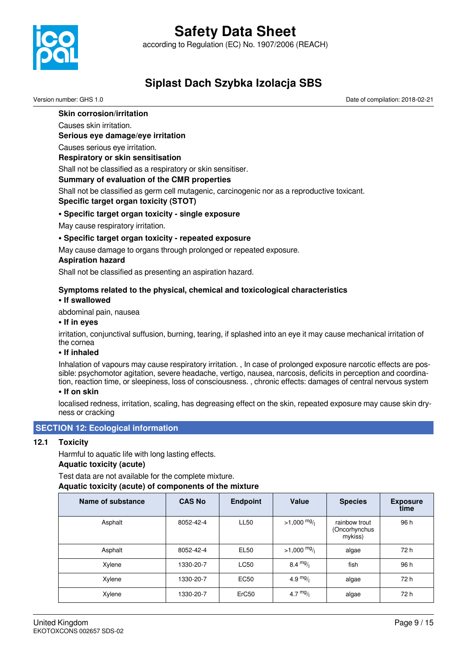according to Regulation (EC) No. 1907/2006 (REACH)



## **Siplast Dach Szybka Izolacja SBS**

Version number: GHS 1.0 Date of compilation: 2018-02-21

#### **Skin corrosion/irritation**

Causes skin irritation.

**Serious eye damage/eye irritation**

Causes serious eye irritation.

#### **Respiratory or skin sensitisation**

Shall not be classified as a respiratory or skin sensitiser.

#### **Summary of evaluation of the CMR properties**

Shall not be classified as germ cell mutagenic, carcinogenic nor as a reproductive toxicant. **Specific target organ toxicity (STOT)**

#### **• Specific target organ toxicity - single exposure**

May cause respiratory irritation.

#### **• Specific target organ toxicity - repeated exposure**

May cause damage to organs through prolonged or repeated exposure.

#### **Aspiration hazard**

Shall not be classified as presenting an aspiration hazard.

#### **Symptoms related to the physical, chemical and toxicological characteristics**

#### **• If swallowed**

abdominal pain, nausea

#### **• If in eyes**

irritation, conjunctival suffusion, burning, tearing, if splashed into an eye it may cause mechanical irritation of the cornea

#### **• If inhaled**

Inhalation of vapours may cause respiratory irritation. , In case of prolonged exposure narcotic effects are possible: psychomotor agitation, severe headache, vertigo, nausea, narcosis, deficits in perception and coordination, reaction time, or sleepiness, loss of consciousness. , chronic effects: damages of central nervous system

#### **• If on skin**

localised redness, irritation, scaling, has degreasing effect on the skin, repeated exposure may cause skin dryness or cracking

#### **SECTION 12: Ecological information**

#### **12.1 Toxicity**

Harmful to aquatic life with long lasting effects.

#### **Aquatic toxicity (acute)**

Test data are not available for the complete mixture. **Aquatic toxicity (acute) of components of the mixture**

| Name of substance | <b>CAS No</b> | <b>Endpoint</b> | <b>Value</b>          | <b>Species</b>                            | <b>Exposure</b><br>time |
|-------------------|---------------|-----------------|-----------------------|-------------------------------------------|-------------------------|
| Asphalt           | 8052-42-4     | <b>LL50</b>     | $>1,000 \frac{mg}{l}$ | rainbow trout<br>(Oncorhynchus<br>mykiss) | 96 h                    |
| Asphalt           | 8052-42-4     | <b>EL50</b>     | $>1,000 \frac{mg}{l}$ | algae                                     | 72 h                    |
| Xylene            | 1330-20-7     | <b>LC50</b>     | $8.4 \frac{mg}{l}$    | fish                                      | 96 h                    |
| Xylene            | 1330-20-7     | EC50            | 4.9 $mg/1$            | algae                                     | 72 h                    |
| Xylene            | 1330-20-7     | ErC50           | 4.7 $mg/1$            | algae                                     | 72 h                    |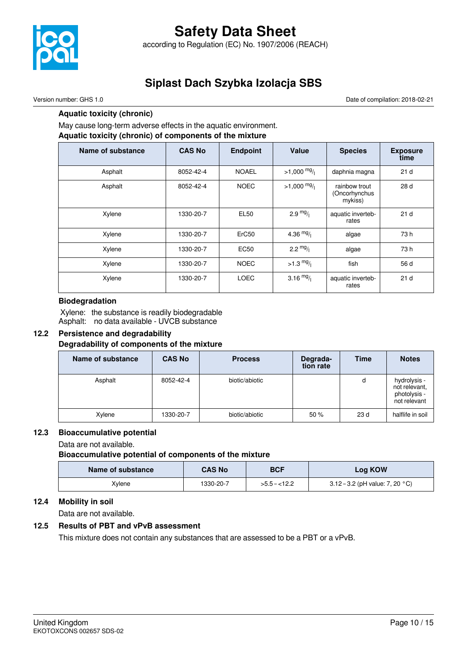

## **Safety Data Sheet** according to Regulation (EC) No. 1907/2006 (REACH)

## **Siplast Dach Szybka Izolacja SBS**

#### Version number: GHS 1.0 Date of compilation: 2018-02-21

#### **Aquatic toxicity (chronic)**

May cause long-term adverse effects in the aquatic environment.

### **Aquatic toxicity (chronic) of components of the mixture**

| Name of substance | <b>CAS No</b> | <b>Endpoint</b>   | Value               | <b>Species</b>                            | <b>Exposure</b><br>time |
|-------------------|---------------|-------------------|---------------------|-------------------------------------------|-------------------------|
| Asphalt           | 8052-42-4     | <b>NOAEL</b>      | $>1,000$ mg/        | daphnia magna                             | 21 <sub>d</sub>         |
| Asphalt           | 8052-42-4     | <b>NOEC</b>       | $>1,000$ mg/        | rainbow trout<br>(Oncorhynchus<br>mykiss) | 28d                     |
| Xylene            | 1330-20-7     | <b>EL50</b>       | $2.9 \frac{mg}{l}$  | aquatic inverteb-<br>rates                | 21 <sub>d</sub>         |
| Xylene            | 1330-20-7     | ErC <sub>50</sub> | 4.36 $mg/$          | algae                                     | 73 h                    |
| Xylene            | 1330-20-7     | <b>EC50</b>       | $2.2 \frac{mg}{l}$  | algae                                     | 73 h                    |
| Xylene            | 1330-20-7     | <b>NOEC</b>       | $>1.3 \frac{mg}{l}$ | fish                                      | 56 d                    |
| Xylene            | 1330-20-7     | <b>LOEC</b>       | 3.16 $mg/$          | aquatic inverteb-<br>rates                | 21 <sub>d</sub>         |

#### **Biodegradation**

 Xylene: the substance is readily biodegradable Asphalt: no data available - UVCB substance

#### **12.2 Persistence and degradability Degradability of components of the mixture**

| Name of substance | <b>CAS No</b> | <b>Process</b> | Degrada-<br>tion rate | <b>Time</b> | <b>Notes</b>                                                  |
|-------------------|---------------|----------------|-----------------------|-------------|---------------------------------------------------------------|
| Asphalt           | 8052-42-4     | biotic/abiotic |                       | d           | hydrolysis -<br>not relevant,<br>photolysis -<br>not relevant |
| Xylene            | 1330-20-7     | biotic/abiotic | 50%                   | 23 d        | halflife in soil                                              |

#### **12.3 Bioaccumulative potential**

Data are not available.

**Bioaccumulative potential of components of the mixture**

| Name of substance | <b>CAS No</b> | <b>BCF</b>    | Log KOW                                   |
|-------------------|---------------|---------------|-------------------------------------------|
| Xvlene            | 1330-20-7     | $>5.5 - 12.2$ | 3.12 – 3.2 (pH value: 7, 20 $^{\circ}$ C) |

#### **12.4 Mobility in soil**

Data are not available.

#### **12.5 Results of PBT and vPvB assessment**

This mixture does not contain any substances that are assessed to be a PBT or a vPvB.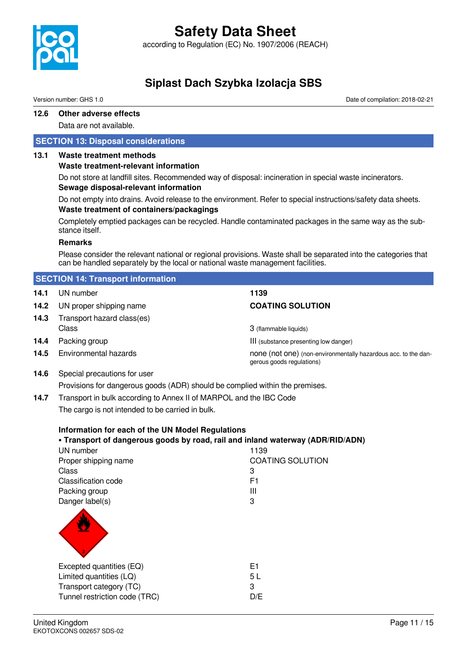

according to Regulation (EC) No. 1907/2006 (REACH)

## **Siplast Dach Szybka Izolacja SBS**

Version number: GHS 1.0 Date of compilation: 2018-02-21

#### **12.6 Other adverse effects**

Data are not available.

#### **SECTION 13: Disposal considerations**

#### **13.1 Waste treatment methods**

#### **Waste treatment-relevant information**

Do not store at landfill sites. Recommended way of disposal: incineration in special waste incinerators. **Sewage disposal-relevant information**

Do not empty into drains. Avoid release to the environment. Refer to special instructions/safety data sheets. **Waste treatment of containers/packagings**

Completely emptied packages can be recycled. Handle contaminated packages in the same way as the substance itself.

#### **Remarks**

Please consider the relevant national or regional provisions. Waste shall be separated into the categories that can be handled separately by the local or national waste management facilities.

|                                                                            | <b>SECTION 14: Transport information</b>                                                                                           |                                                                                             |  |
|----------------------------------------------------------------------------|------------------------------------------------------------------------------------------------------------------------------------|---------------------------------------------------------------------------------------------|--|
| 14.1                                                                       | UN number                                                                                                                          | 1139                                                                                        |  |
| 14.2                                                                       | UN proper shipping name                                                                                                            | <b>COATING SOLUTION</b>                                                                     |  |
| 14.3                                                                       | Transport hazard class(es)                                                                                                         |                                                                                             |  |
|                                                                            | Class                                                                                                                              | 3 (flammable liquids)                                                                       |  |
| 14.4                                                                       | Packing group                                                                                                                      | III (substance presenting low danger)                                                       |  |
| 14.5                                                                       | Environmental hazards                                                                                                              | none (not one) (non-environmentally hazardous acc. to the dan-<br>gerous goods regulations) |  |
| 14.6                                                                       | Special precautions for user                                                                                                       |                                                                                             |  |
|                                                                            | Provisions for dangerous goods (ADR) should be complied within the premises.                                                       |                                                                                             |  |
| Transport in bulk according to Annex II of MARPOL and the IBC Code<br>14.7 |                                                                                                                                    |                                                                                             |  |
|                                                                            | The cargo is not intended to be carried in bulk.                                                                                   |                                                                                             |  |
|                                                                            | Information for each of the UN Model Regulations<br>. Transport of dangerous goods by road, rail and inland waterway (ADR/RID/ADN) |                                                                                             |  |
| UN number<br>1139                                                          |                                                                                                                                    |                                                                                             |  |
|                                                                            | Proper shipping name                                                                                                               | <b>COATING SOLUTION</b>                                                                     |  |
|                                                                            | Class                                                                                                                              | 3                                                                                           |  |
|                                                                            | <b>Classification code</b>                                                                                                         | F <sub>1</sub>                                                                              |  |
|                                                                            | Packing group                                                                                                                      | III                                                                                         |  |
|                                                                            | Danger label(s)                                                                                                                    | 3                                                                                           |  |
|                                                                            |                                                                                                                                    |                                                                                             |  |
|                                                                            |                                                                                                                                    |                                                                                             |  |
|                                                                            |                                                                                                                                    |                                                                                             |  |
|                                                                            | Excepted quantities (EQ)                                                                                                           | E1                                                                                          |  |
|                                                                            | Limited quantities (LQ)                                                                                                            | 5L                                                                                          |  |
|                                                                            | Transport category (TC)                                                                                                            | 3                                                                                           |  |
|                                                                            | Tunnel restriction code (TRC)                                                                                                      | D/E                                                                                         |  |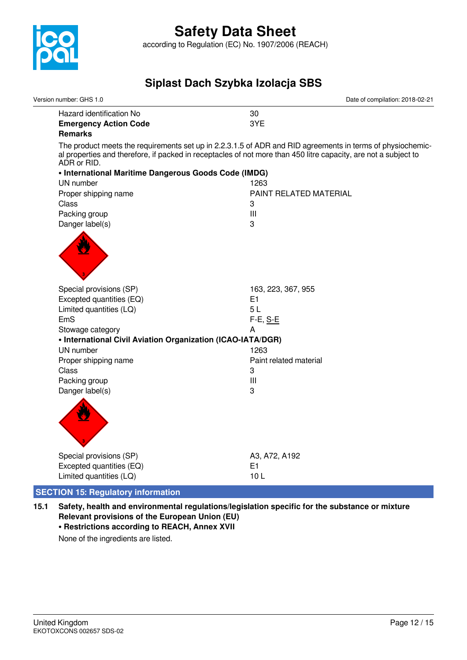

| Version number: GHS 1.0                                     | Date of compilation: 2018-02-21                                                                                                                                                                                               |  |  |
|-------------------------------------------------------------|-------------------------------------------------------------------------------------------------------------------------------------------------------------------------------------------------------------------------------|--|--|
| Hazard identification No                                    | 30                                                                                                                                                                                                                            |  |  |
| <b>Emergency Action Code</b>                                | 3YE                                                                                                                                                                                                                           |  |  |
| <b>Remarks</b>                                              |                                                                                                                                                                                                                               |  |  |
| ADR or RID.                                                 | The product meets the requirements set up in 2.2.3.1.5 of ADR and RID agreements in terms of physiochemic-<br>al properties and therefore, if packed in receptacles of not more than 450 litre capacity, are not a subject to |  |  |
| • International Maritime Dangerous Goods Code (IMDG)        |                                                                                                                                                                                                                               |  |  |
| UN number                                                   | 1263                                                                                                                                                                                                                          |  |  |
| Proper shipping name                                        | PAINT RELATED MATERIAL                                                                                                                                                                                                        |  |  |
| Class                                                       | 3                                                                                                                                                                                                                             |  |  |
| Packing group                                               | Ш                                                                                                                                                                                                                             |  |  |
| Danger label(s)                                             | 3                                                                                                                                                                                                                             |  |  |
|                                                             |                                                                                                                                                                                                                               |  |  |
| Special provisions (SP)                                     | 163, 223, 367, 955                                                                                                                                                                                                            |  |  |
| Excepted quantities (EQ)                                    | E1                                                                                                                                                                                                                            |  |  |
| Limited quantities (LQ)                                     | 5L                                                                                                                                                                                                                            |  |  |
| EmS                                                         | F-E, S-E                                                                                                                                                                                                                      |  |  |
| Stowage category                                            | A                                                                                                                                                                                                                             |  |  |
| • International Civil Aviation Organization (ICAO-IATA/DGR) |                                                                                                                                                                                                                               |  |  |
| UN number                                                   | 1263                                                                                                                                                                                                                          |  |  |
| Proper shipping name                                        | Paint related material                                                                                                                                                                                                        |  |  |
| Class                                                       | 3                                                                                                                                                                                                                             |  |  |
| Packing group                                               | $\mathbf{III}$                                                                                                                                                                                                                |  |  |
| Danger label(s)                                             | 3                                                                                                                                                                                                                             |  |  |
|                                                             |                                                                                                                                                                                                                               |  |  |
| Special provisions (SP)                                     | A3, A72, A192                                                                                                                                                                                                                 |  |  |
| Excepted quantities (EQ)                                    | E1                                                                                                                                                                                                                            |  |  |
| Limited quantities (LQ)                                     | 10L                                                                                                                                                                                                                           |  |  |
| <b>SECTION 15: Regulatory information</b>                   |                                                                                                                                                                                                                               |  |  |

**<sup>15.1</sup> Safety, health and environmental regulations/legislation specific for the substance or mixture Relevant provisions of the European Union (EU)**

### **• Restrictions according to REACH, Annex XVII**

None of the ingredients are listed.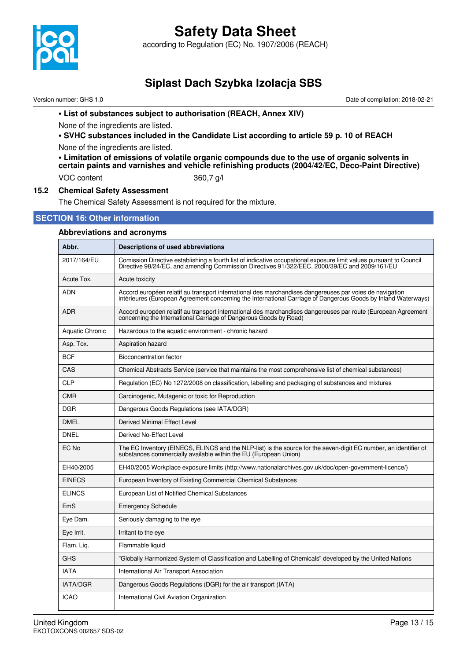

according to Regulation (EC) No. 1907/2006 (REACH)

## **Siplast Dach Szybka Izolacja SBS**

Version number: GHS 1.0 Date of compilation: 2018-02-21

#### **• List of substances subject to authorisation (REACH, Annex XIV)**

None of the ingredients are listed.

**• SVHC substances included in the Candidate List according to article 59 p. 10 of REACH** None of the ingredients are listed.

**• Limitation of emissions of volatile organic compounds due to the use of organic solvents in certain paints and varnishes and vehicle refinishing products (2004/42/EC, Deco-Paint Directive)** VOC content 360.7 g/l

#### **15.2 Chemical Safety Assessment**

The Chemical Safety Assessment is not required for the mixture.

#### **SECTION 16: Other information**

### **Abbreviations and acronyms Abbr. Descriptions of used abbreviations** 2017/164/EU Comission Directive establishing a fourth list of indicative occupational exposure limit values pursuant to Council Directive 98/24/EC, and amending Commission Directives 91/322/EEC, 2000/39/EC and 2009/161/EU Acute Tox. **Acute toxicity** ADN Accord européen relatif au transport international des marchandises dangereuses par voies de navigation intérieures (European Agreement concerning the International Carriage of Dangerous Goods by Inland Waterways) ADR Accord européen relatif au transport international des marchandises dangereuses par route (European Agreement concerning the International Carriage of Dangerous Goods by Road) Aquatic Chronic Hazardous to the aquatic environment - chronic hazard Asp. Tox. **Aspiration hazard** BCF Bioconcentration factor CAS Chemical Abstracts Service (service that maintains the most comprehensive list of chemical substances) CLP Regulation (EC) No 1272/2008 on classification, labelling and packaging of substances and mixtures CMR Carcinogenic, Mutagenic or toxic for Reproduction DGR Dangerous Goods Regulations (see IATA/DGR) DMEL | Derived Minimal Effect Level DNEL | Derived No-Effect Level EC No The EC Inventory (EINECS, ELINCS and the NLP-list) is the source for the seven-digit EC number, an identifier of substances commercially available within the EU (European Union) EH40/2005 EH40/2005 Workplace exposure limits (http://www.nationalarchives.gov.uk/doc/open-government-licence/) EINECS European Inventory of Existing Commercial Chemical Substances ELINCS | European List of Notified Chemical Substances EmS Emergency Schedule Eye Dam. Seriously damaging to the eye Eye Irrit. **I** Irritant to the eye Flam. Lig. | Flammable liquid GHS "Globally Harmonized System of Classification and Labelling of Chemicals" developed by the United Nations IATA International Air Transport Association IATA/DGR Dangerous Goods Regulations (DGR) for the air transport (IATA) ICAO **International Civil Aviation Organization**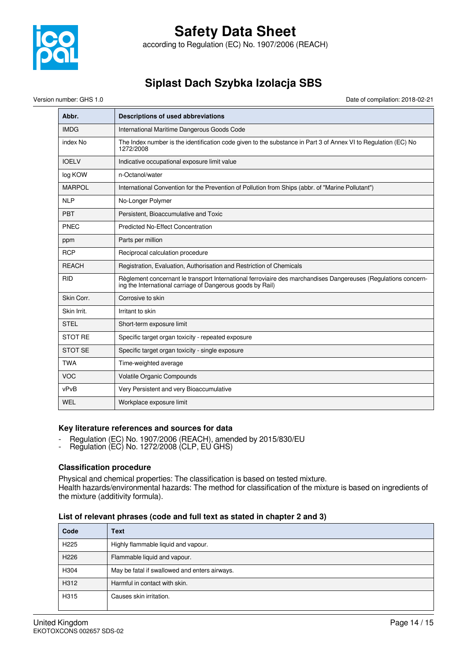

### **Safety Data Sheet** according to Regulation (EC) No. 1907/2006 (REACH)

## **Siplast Dach Szybka Izolacja SBS**

Version number: GHS 1.0 Date of compilation: 2018-02-21

| Abbr.          | Descriptions of used abbreviations                                                                                                                                           |
|----------------|------------------------------------------------------------------------------------------------------------------------------------------------------------------------------|
| <b>IMDG</b>    | International Maritime Dangerous Goods Code                                                                                                                                  |
| index No       | The Index number is the identification code given to the substance in Part 3 of Annex VI to Regulation (EC) No<br>1272/2008                                                  |
| <b>IOELV</b>   | Indicative occupational exposure limit value                                                                                                                                 |
| log KOW        | n-Octanol/water                                                                                                                                                              |
| <b>MARPOL</b>  | International Convention for the Prevention of Pollution from Ships (abbr. of "Marine Pollutant")                                                                            |
| <b>NLP</b>     | No-Longer Polymer                                                                                                                                                            |
| PBT            | Persistent, Bioaccumulative and Toxic                                                                                                                                        |
| PNEC           | <b>Predicted No-Effect Concentration</b>                                                                                                                                     |
| ppm            | Parts per million                                                                                                                                                            |
| <b>RCP</b>     | Reciprocal calculation procedure                                                                                                                                             |
| <b>REACH</b>   | Registration, Evaluation, Authorisation and Restriction of Chemicals                                                                                                         |
| <b>RID</b>     | Règlement concernant le transport International ferroviaire des marchandises Dangereuses (Regulations concern-<br>ing the International carriage of Dangerous goods by Rail) |
| Skin Corr.     | Corrosive to skin                                                                                                                                                            |
| Skin Irrit.    | Irritant to skin                                                                                                                                                             |
| <b>STEL</b>    | Short-term exposure limit                                                                                                                                                    |
| <b>STOT RE</b> | Specific target organ toxicity - repeated exposure                                                                                                                           |
| <b>STOT SE</b> | Specific target organ toxicity - single exposure                                                                                                                             |
| <b>TWA</b>     | Time-weighted average                                                                                                                                                        |
| <b>VOC</b>     | <b>Volatile Organic Compounds</b>                                                                                                                                            |
| vPvB           | Very Persistent and very Bioaccumulative                                                                                                                                     |
| WEL            | Workplace exposure limit                                                                                                                                                     |

#### **Key literature references and sources for data**

- Regulation (EC) No. 1907/2006 (REACH), amended by 2015/830/EU
- Regulation (EC) No. 1272/2008 (CLP, EU GHS)

#### **Classification procedure**

Physical and chemical properties: The classification is based on tested mixture.

Health hazards/environmental hazards: The method for classification of the mixture is based on ingredients of the mixture (additivity formula).

#### **List of relevant phrases (code and full text as stated in chapter 2 and 3)**

| Code             | <b>Text</b>                                   |
|------------------|-----------------------------------------------|
| H <sub>225</sub> | Highly flammable liquid and vapour.           |
| H <sub>226</sub> | Flammable liquid and vapour.                  |
| H304             | May be fatal if swallowed and enters airways. |
| H312             | Harmful in contact with skin.                 |
| H315             | Causes skin irritation.                       |